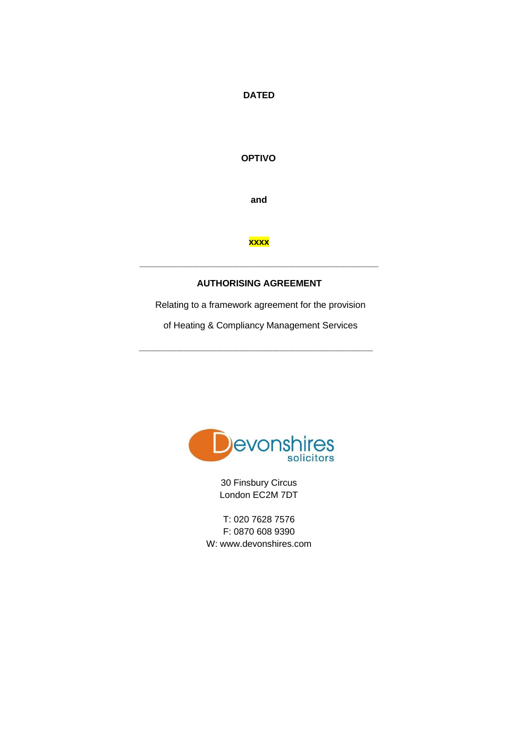### **DATED**

## **OPTIVO**

**and** 

#### **xxxx**

#### **AUTHORISING AGREEMENT**

**\_\_\_\_\_\_\_\_\_\_\_\_\_\_\_\_\_\_\_\_\_\_\_\_\_\_\_\_\_\_\_\_\_\_\_\_\_\_\_\_\_\_\_\_\_\_\_** 

Relating to a framework agreement for the provision

of Heating & Compliancy Management Services

**\_\_\_\_\_\_\_\_\_\_\_\_\_\_\_\_\_\_\_\_\_\_\_\_\_\_\_\_\_\_\_\_\_\_\_\_\_\_\_\_\_\_\_\_\_\_** 



30 Finsbury Circus London EC2M 7DT

T: 020 7628 7576 F: 0870 608 9390 W: www.devonshires.com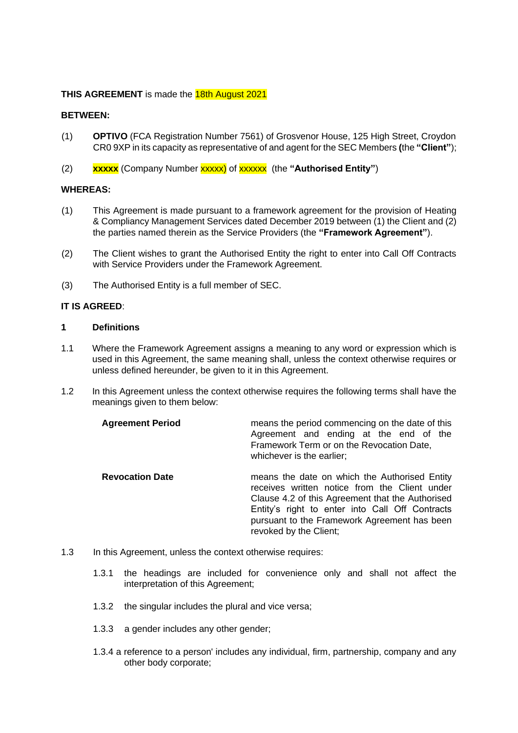#### **THIS AGREEMENT** is made the **18th August 2021**

#### **BETWEEN:**

- (1) **OPTIVO** (FCA Registration Number 7561) of Grosvenor House, 125 High Street, Croydon CR0 9XP in its capacity as representative of and agent for the SEC Members **(**the **"Client"**);
- (2) **xxxxx** (Company Number xxxxx) of xxxxxx (the **"Authorised Entity"**)

#### **WHEREAS:**

- (1) This Agreement is made pursuant to a framework agreement for the provision of Heating & Compliancy Management Services dated December 2019 between (1) the Client and (2) the parties named therein as the Service Providers (the **"Framework Agreement"**).
- (2) The Client wishes to grant the Authorised Entity the right to enter into Call Off Contracts with Service Providers under the Framework Agreement.
- (3) The Authorised Entity is a full member of SEC.

#### **IT IS AGREED**:

#### **1 Definitions**

- 1.1 Where the Framework Agreement assigns a meaning to any word or expression which is used in this Agreement, the same meaning shall, unless the context otherwise requires or unless defined hereunder, be given to it in this Agreement.
- 1.2 In this Agreement unless the context otherwise requires the following terms shall have the meanings given to them below:

| <b>Agreement Period</b> | means the period commencing on the date of this<br>Agreement and ending at the end of the<br>Framework Term or on the Revocation Date,<br>whichever is the earlier;                                                                                                             |
|-------------------------|---------------------------------------------------------------------------------------------------------------------------------------------------------------------------------------------------------------------------------------------------------------------------------|
| <b>Revocation Date</b>  | means the date on which the Authorised Entity<br>receives written notice from the Client under<br>Clause 4.2 of this Agreement that the Authorised<br>Entity's right to enter into Call Off Contracts<br>pursuant to the Framework Agreement has been<br>revoked by the Client; |

- 1.3 In this Agreement, unless the context otherwise requires:
	- 1.3.1 the headings are included for convenience only and shall not affect the interpretation of this Agreement;
	- 1.3.2 the singular includes the plural and vice versa;
	- 1.3.3 a gender includes any other gender;
	- 1.3.4 a reference to a person' includes any individual, firm, partnership, company and any other body corporate;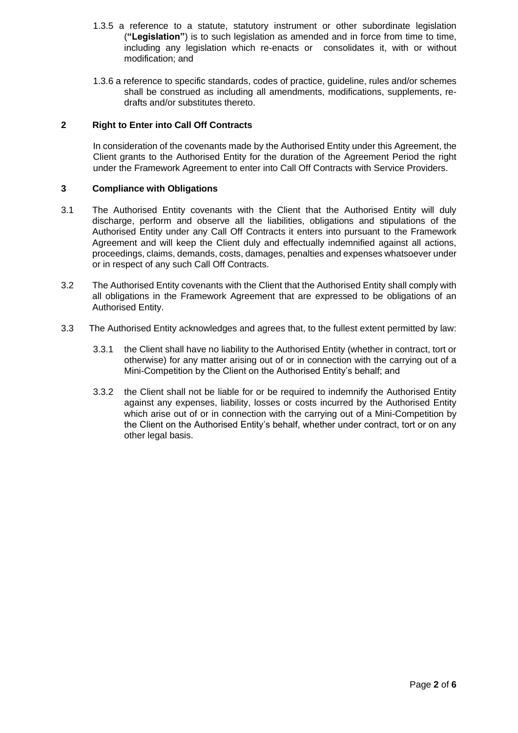- 1.3.5 a reference to a statute, statutory instrument or other subordinate legislation (**"Legislation"**) is to such legislation as amended and in force from time to time, including any legislation which re-enacts or consolidates it, with or without modification; and
- 1.3.6 a reference to specific standards, codes of practice, guideline, rules and/or schemes shall be construed as including all amendments, modifications, supplements, redrafts and/or substitutes thereto.

### **2 Right to Enter into Call Off Contracts**

In consideration of the covenants made by the Authorised Entity under this Agreement, the Client grants to the Authorised Entity for the duration of the Agreement Period the right under the Framework Agreement to enter into Call Off Contracts with Service Providers.

## **3 Compliance with Obligations**

- 3.1 The Authorised Entity covenants with the Client that the Authorised Entity will duly discharge, perform and observe all the liabilities, obligations and stipulations of the Authorised Entity under any Call Off Contracts it enters into pursuant to the Framework Agreement and will keep the Client duly and effectually indemnified against all actions, proceedings, claims, demands, costs, damages, penalties and expenses whatsoever under or in respect of any such Call Off Contracts.
- 3.2 The Authorised Entity covenants with the Client that the Authorised Entity shall comply with all obligations in the Framework Agreement that are expressed to be obligations of an Authorised Entity.
- 3.3 The Authorised Entity acknowledges and agrees that, to the fullest extent permitted by law:
	- 3.3.1 the Client shall have no liability to the Authorised Entity (whether in contract, tort or otherwise) for any matter arising out of or in connection with the carrying out of a Mini-Competition by the Client on the Authorised Entity's behalf; and
	- 3.3.2 the Client shall not be liable for or be required to indemnify the Authorised Entity against any expenses, liability, losses or costs incurred by the Authorised Entity which arise out of or in connection with the carrying out of a Mini-Competition by the Client on the Authorised Entity's behalf, whether under contract, tort or on any other legal basis.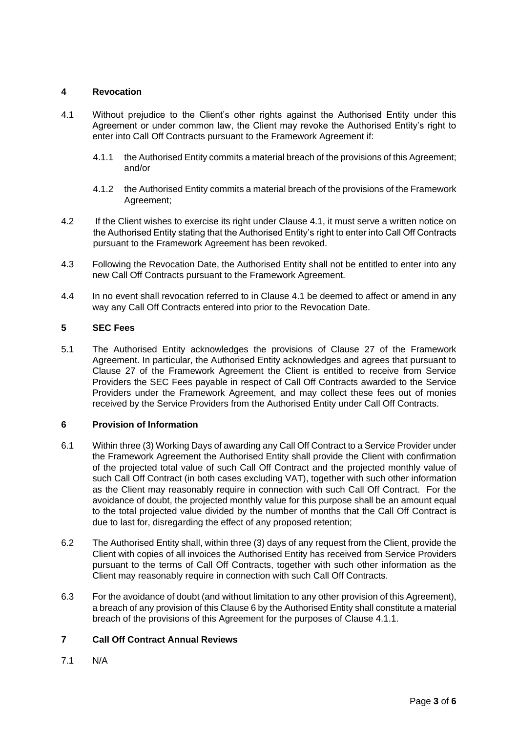# **4 Revocation**

- 4.1 Without prejudice to the Client's other rights against the Authorised Entity under this Agreement or under common law, the Client may revoke the Authorised Entity's right to enter into Call Off Contracts pursuant to the Framework Agreement if:
	- 4.1.1 the Authorised Entity commits a material breach of the provisions of this Agreement; and/or
	- 4.1.2 the Authorised Entity commits a material breach of the provisions of the Framework Agreement;
- 4.2 If the Client wishes to exercise its right under Clause 4.1, it must serve a written notice on the Authorised Entity stating that the Authorised Entity's right to enter into Call Off Contracts pursuant to the Framework Agreement has been revoked.
- 4.3 Following the Revocation Date, the Authorised Entity shall not be entitled to enter into any new Call Off Contracts pursuant to the Framework Agreement.
- 4.4 In no event shall revocation referred to in Clause 4.1 be deemed to affect or amend in any way any Call Off Contracts entered into prior to the Revocation Date.

## **5 SEC Fees**

5.1 The Authorised Entity acknowledges the provisions of Clause 27 of the Framework Agreement. In particular, the Authorised Entity acknowledges and agrees that pursuant to Clause 27 of the Framework Agreement the Client is entitled to receive from Service Providers the SEC Fees payable in respect of Call Off Contracts awarded to the Service Providers under the Framework Agreement, and may collect these fees out of monies received by the Service Providers from the Authorised Entity under Call Off Contracts.

#### **6 Provision of Information**

- 6.1 Within three (3) Working Days of awarding any Call Off Contract to a Service Provider under the Framework Agreement the Authorised Entity shall provide the Client with confirmation of the projected total value of such Call Off Contract and the projected monthly value of such Call Off Contract (in both cases excluding VAT), together with such other information as the Client may reasonably require in connection with such Call Off Contract. For the avoidance of doubt, the projected monthly value for this purpose shall be an amount equal to the total projected value divided by the number of months that the Call Off Contract is due to last for, disregarding the effect of any proposed retention;
- 6.2 The Authorised Entity shall, within three (3) days of any request from the Client, provide the Client with copies of all invoices the Authorised Entity has received from Service Providers pursuant to the terms of Call Off Contracts, together with such other information as the Client may reasonably require in connection with such Call Off Contracts.
- 6.3 For the avoidance of doubt (and without limitation to any other provision of this Agreement), a breach of any provision of this Clause 6 by the Authorised Entity shall constitute a material breach of the provisions of this Agreement for the purposes of Clause 4.1.1.

# **7 Call Off Contract Annual Reviews**

7.1 N/A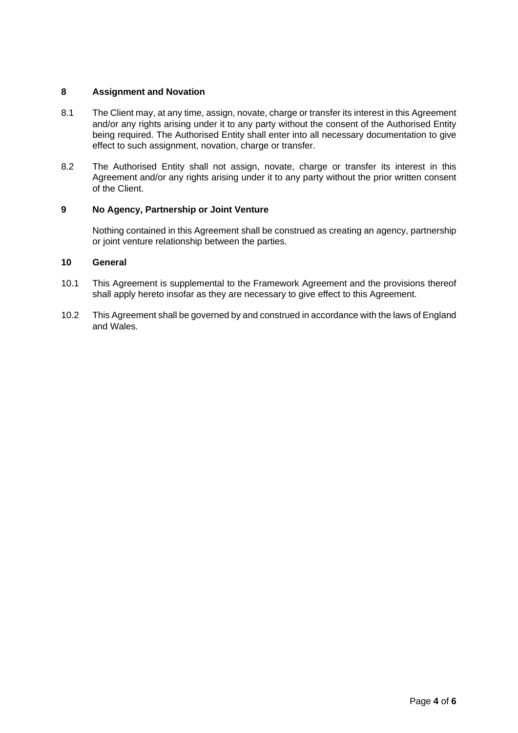## **8 Assignment and Novation**

- 8.1 The Client may, at any time, assign, novate, charge or transfer its interest in this Agreement and/or any rights arising under it to any party without the consent of the Authorised Entity being required. The Authorised Entity shall enter into all necessary documentation to give effect to such assignment, novation, charge or transfer.
- 8.2 The Authorised Entity shall not assign, novate, charge or transfer its interest in this Agreement and/or any rights arising under it to any party without the prior written consent of the Client.

## **9 No Agency, Partnership or Joint Venture**

Nothing contained in this Agreement shall be construed as creating an agency, partnership or joint venture relationship between the parties.

## **10 General**

- 10.1 This Agreement is supplemental to the Framework Agreement and the provisions thereof shall apply hereto insofar as they are necessary to give effect to this Agreement.
- 10.2 This Agreement shall be governed by and construed in accordance with the laws of England and Wales.